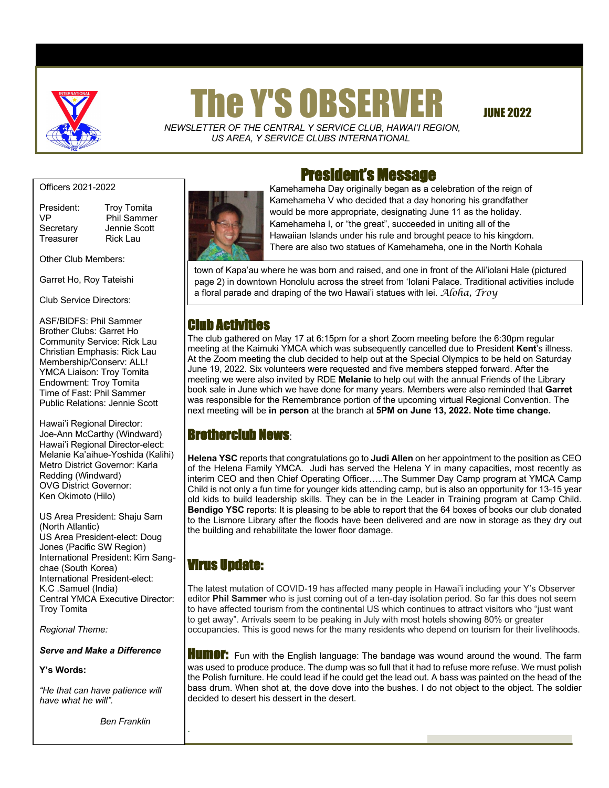

# The Y'S OBSERVER JUNE 2022

 *NEWSLETTER OF THE CENTRAL Y SERVICE CLUB*, *HAWAI'I REGION, US AREA, Y SERVICE CLUBS INTERNATIONAL*

Officers 2021-2022

Treasurer Rick Lau

President: Troy Tomita VP Phil Sammer Secretary Jennie Scott

Other Club Members:

Garret Ho, Roy Tateishi

Club Service Directors:

ASF/BIDFS: Phil Sammer Brother Clubs: Garret Ho Community Service: Rick Lau Christian Emphasis: Rick Lau Membership/Conserv: ALL! YMCA Liaison: Troy Tomita Endowment: Troy Tomita Time of Fast: Phil Sammer Public Relations: Jennie Scott

Hawai'i Regional Director: Joe-Ann McCarthy (Windward) Hawai'i Regional Director-elect: Melanie Ka'aihue-Yoshida (Kalihi) Metro District Governor: Karla Redding (Windward) OVG District Governor: Ken Okimoto (Hilo)

US Area President: Shaju Sam (North Atlantic) US Area President-elect: Doug Jones (Pacific SW Region) International President: Kim Sangchae (South Korea) International President-elect: K.C .Samuel (India) Central YMCA Executive Director: Troy Tomita

*Regional Theme:* 

*Serve and Make a Difference*

#### **Y's Words:**

*"He that can have patience will have what he will".*

 *Ben Franklin*

.



# President's Message

Kamehameha Day originally began as a celebration of the reign of Kamehameha V who decided that a day honoring his grandfather would be more appropriate, designating June 11 as the holiday. Kamehameha I, or "the great", succeeded in uniting all of the Hawaiian Islands under his rule and brought peace to his kingdom. There are also two statues of Kamehameha, one in the North Kohala

town of Kapa'au where he was born and raised, and one in front of the Ali'iolani Hale (pictured page 2) in downtown Honolulu across the street from 'Iolani Palace. Traditional activities include a floral parade and draping of the two Hawai'i statues with lei. *Aloha, Troy*

# Club Activities

The club gathered on May 17 at 6:15pm for a short Zoom meeting before the 6:30pm regular meeting at the Kaimuki YMCA which was subsequently cancelled due to President **Kent**'s illness. At the Zoom meeting the club decided to help out at the Special Olympics to be held on Saturday June 19, 2022. Six volunteers were requested and five members stepped forward. After the meeting we were also invited by RDE **Melanie** to help out with the annual Friends of the Library book sale in June which we have done for many years. Members were also reminded that **Garret** was responsible for the Remembrance portion of the upcoming virtual Regional Convention. The next meeting will be **in person** at the branch at **5PM on June 13, 2022. Note time change.**

# Brotherclub News:

**Helena YSC** reports that congratulations go to **Judi Allen** on her appointment to the position as CEO of the Helena Family YMCA. Judi has served the Helena Y in many capacities, most recently as interim CEO and then Chief Operating Officer…..The Summer Day Camp program at YMCA Camp Child is not only a fun time for younger kids attending camp, but is also an opportunity for 13-15 year old kids to build leadership skills. They can be in the Leader in Training program at Camp Child. **Bendigo YSC** reports: It is pleasing to be able to report that the 64 boxes of books our club donated to the Lismore Library after the floods have been delivered and are now in storage as they dry out the building and rehabilitate the lower floor damage.

# Virus Update:

The latest mutation of COVID-19 has affected many people in Hawai'i including your Y's Observer editor **Phil Sammer** who is just coming out of a ten-day isolation period. So far this does not seem to have affected tourism from the continental US which continues to attract visitors who "just want to get away". Arrivals seem to be peaking in July with most hotels showing 80% or greater occupancies. This is good news for the many residents who depend on tourism for their livelihoods.

**HUMOF:** Fun with the English language: The bandage was wound around the wound. The farm was used to produce produce. The dump was so full that it had to refuse more refuse. We must polish the Polish furniture. He could lead if he could get the lead out. A bass was painted on the head of the bass drum. When shot at, the dove dove into the bushes. I do not object to the object. The soldier decided to desert his dessert in the desert.